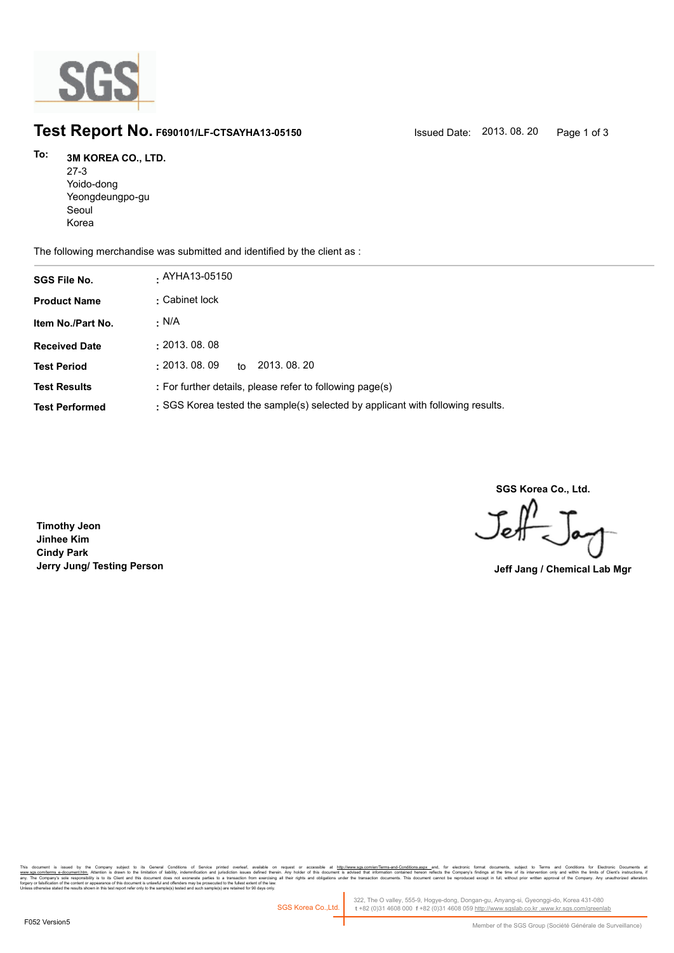

## **Test Report No. F690101/LF-CTSAYHA13-05150** Issued Date: 2013. 08. 20 Page 1 of 3

## **3M KOREA CO., LTD. To:**

27-3 Yoido-dong Yeongdeungpo-gu Seoul Korea

The following merchandise was submitted and identified by the client as :

| <b>SGS File No.</b>   | . AYHA13-05150                                                                 |
|-----------------------|--------------------------------------------------------------------------------|
| <b>Product Name</b>   | : Cabinet lock                                                                 |
| Item No./Part No.     | · N/A                                                                          |
| <b>Received Date</b>  | : 2013.08.08                                                                   |
| <b>Test Period</b>    | $\pm 2013.08.09$<br>2013, 08, 20<br>to                                         |
| <b>Test Results</b>   | : For further details, please refer to following page(s)                       |
| <b>Test Performed</b> | : SGS Korea tested the sample(s) selected by applicant with following results. |

**SGS Korea Co., Ltd.**

Jeff

**Timothy Jeon Jinhee Kim Cindy Park Jerry Jung/ Testing Person Jeff Jang / Chemical Lab Mgr**

, company sugna, as cerain consmons or servor pnme overa, available that the metally interest and the metally independent of the document is advised that information contained hereon reflects the company's findings at the forgery or falsification of the content or appearance of this document is unlawful and offenders may be prosecuted to the fullest extent of the law.<br>Unless otherwise stated the results shown in this test report refer only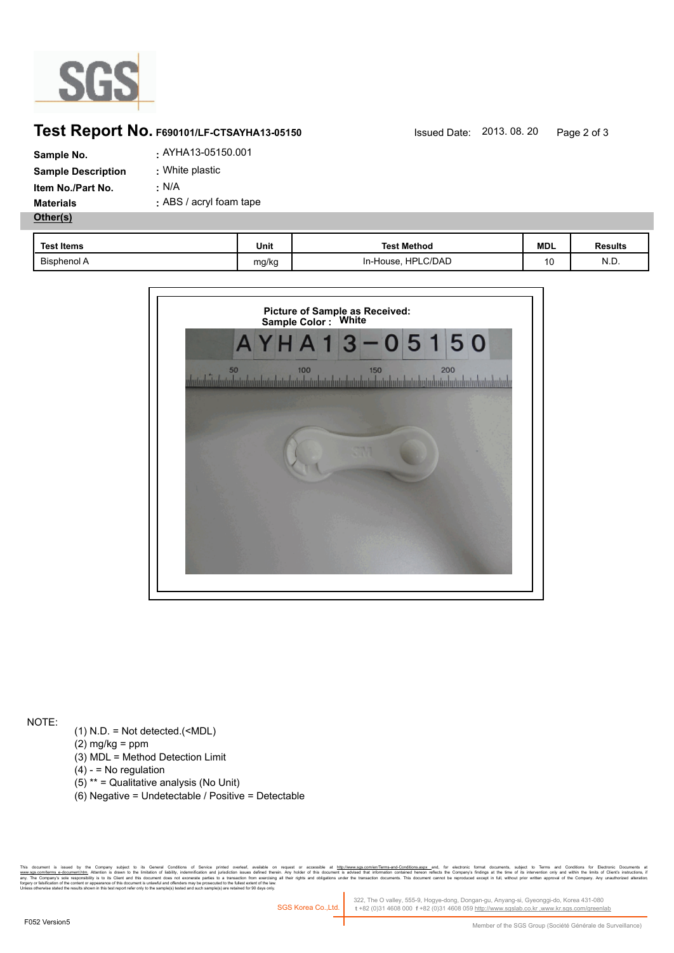

## **Test Report No. F690101/LF-CTSAYHA13-05150** Issued Date: 2013. 08. 20 Page 2 of 3

| Sample No.                | . AYHA13-05150.001      |
|---------------------------|-------------------------|
| <b>Sample Description</b> | : White plastic         |
| <b>Item No./Part No.</b>  | <u>:</u> N/A            |
| <b>Materials</b>          | : ABS / acryl foam tape |
| Other(s)                  |                         |

| <b>Test Items</b>  | Unit  | <b>Test Method</b>           | <b>MDL</b> | <b>Results</b> |
|--------------------|-------|------------------------------|------------|----------------|
| <b>Bisphenol A</b> | mg/kg | <b>HPLC/DAD</b><br>In-House, | 10         | N.D.           |



NOTE:

- (1) N.D. = Not detected.(<MDL)
- $(2)$  mg/kg = ppm
- (3) MDL = Method Detection Limit
- $(4) -$  = No regulation
- (5) \*\* = Qualitative analysis (No Unit)
- (6) Negative = Undetectable / Positive = Detectable

Company subject to its General Conditions of Service prime overleat, available on request or accessible at h<u>ttp:/www.ses.compen/emis-associe</u>d methindical conditions assume that we electrical conditions and interpret in t forgery or falsification of the content or appearance of this document is unlawful and offenders may be prosecuted to the fullest extent of the law.<br>Unless otherwise stated the results shown in this test report refer only